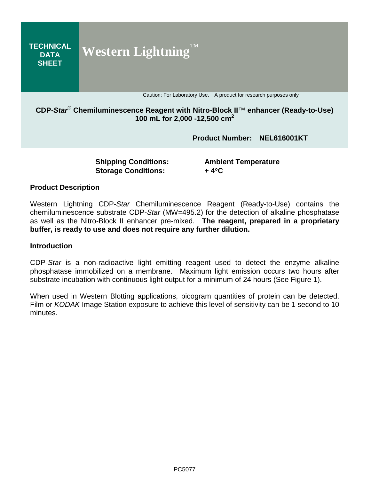

## **CDP-***Star*® **Chemiluminescence Reagent with Nitro-Block II**™ **enhancer (Ready-to-Use) 100 mL for 2,000 -12,500 cm 2**

**Product Number: NEL616001KT**

**Storage Conditions: + 4**°**C**

**Shipping Conditions: Ambient Temperature**

#### **Product Description**

Western Lightning CDP-*Star* Chemiluminescence Reagent (Ready-to-Use) contains the chemiluminescence substrate CDP-*Star* (MW=495.2) for the detection of alkaline phosphatase as well as the Nitro-Block II enhancer pre-mixed. **The reagent, prepared in a proprietary buffer, is ready to use and does not require any further dilution.**

#### **Introduction**

CDP-*Star* is a non-radioactive light emitting reagent used to detect the enzyme alkaline phosphatase immobilized on a membrane. Maximum light emission occurs two hours after substrate incubation with continuous light output for a minimum of 24 hours (See Figure 1).

When used in Western Blotting applications, picogram quantities of protein can be detected. Film or *KODAK* Image Station exposure to achieve this level of sensitivity can be 1 second to 10 minutes.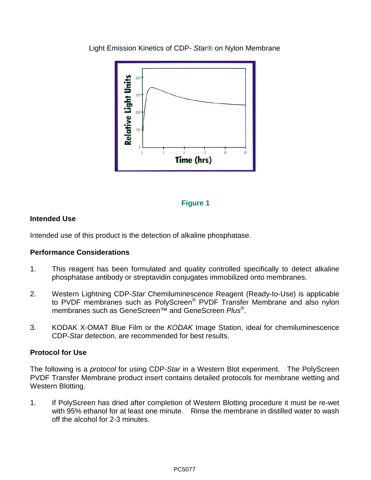

Light Emission Kinetics of CDP- Star<sup>®</sup> on Nylon Membrane

## **Figure 1**

# **Intended Use**

Intended use of this product is the detection of alkaline phosphatase.

## **Performance Considerations**

- 1. This reagent has been formulated and quality controlled specifically to detect alkaline phosphatase antibody or streptavidin conjugates immobilized onto membranes.
- 2. Western Lightning CDP-*Star* Chemiluminescence Reagent (Ready-to-Use) is applicable to PVDF membranes such as PolyScreen® PVDF Transfer Membrane and also nylon membranes such as GeneScreen™ and GeneScreen *Plus*®.
- 3. KODAK X-OMAT Blue Film or the *KODAK* Image Station, ideal for chemiluminescence CDP-*Star* detection, are recommended for best results.

## **Protocol for Use**

The following is a *protocol* for using CDP-*Star* in a Western Blot experiment. The PolyScreen PVDF Transfer Membrane product insert contains detailed protocols for membrane wetting and Western Blotting.

1. If PolyScreen has dried after completion of Western Blotting procedure it must be re-wet with 95% ethanol for at least one minute. Rinse the membrane in distilled water to wash off the alcohol for 2-3 minutes.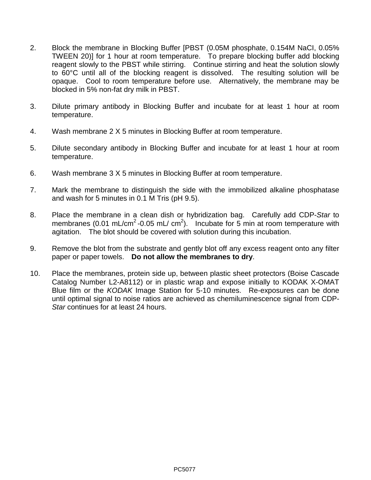- 2. Block the membrane in Blocking Buffer [PBST (0.05M phosphate, 0.154M NaCI, 0.05% TWEEN 20)] for 1 hour at room temperature. To prepare blocking buffer add blocking reagent slowly to the PBST while stirring. Continue stirring and heat the solution slowly to 60°C until all of the blocking reagent is dissolved. The resulting solution will be opaque. Cool to room temperature before use. Alternatively, the membrane may be blocked in 5% non-fat dry milk in PBST.
- 3. Dilute primary antibody in Blocking Buffer and incubate for at least 1 hour at room temperature.
- 4. Wash membrane 2 X 5 minutes in Blocking Buffer at room temperature.
- 5. Dilute secondary antibody in Blocking Buffer and incubate for at least 1 hour at room temperature.
- 6. Wash membrane 3 X 5 minutes in Blocking Buffer at room temperature.
- 7. Mark the membrane to distinguish the side with the immobilized alkaline phosphatase and wash for 5 minutes in 0.1 M Tris (pH 9.5).
- 8. Place the membrane in a clean dish or hybridization bag. Carefully add CDP-*Star* to membranes (0.01 mL/cm<sup>2</sup> -0.05 mL/ cm<sup>2</sup>). Incubate for 5 min at room temperature with agitation. The blot should be covered with solution during this incubation.
- 9. Remove the blot from the substrate and gently blot off any excess reagent onto any filter paper or paper towels. **Do not allow the membranes to dry**.
- 10. Place the membranes, protein side up, between plastic sheet protectors (Boise Cascade Catalog Number L2-A8112) or in plastic wrap and expose initially to KODAK X-OMAT Blue film or the *KODAK* Image Station for 5-10 minutes. Re-exposures can be done until optimal signal to noise ratios are achieved as chemiluminescence signal from CDP-*Star* continues for at least 24 hours.